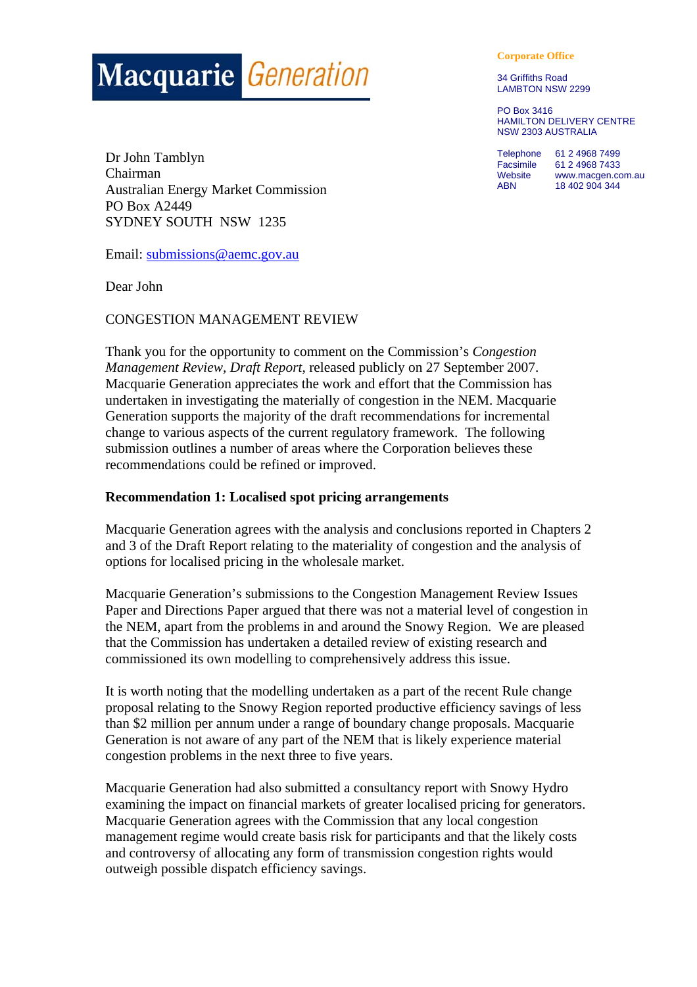# **Macquarie Generation**

Dr John Tamblyn Chairman Australian Energy Market Commission PO Box A2449 SYDNEY SOUTH NSW 1235

Email: submissions@aemc.gov.au

Dear John

CONGESTION MANAGEMENT REVIEW

Thank you for the opportunity to comment on the Commission's *Congestion Management Review, Draft Report*, released publicly on 27 September 2007. Macquarie Generation appreciates the work and effort that the Commission has undertaken in investigating the materially of congestion in the NEM. Macquarie Generation supports the majority of the draft recommendations for incremental change to various aspects of the current regulatory framework. The following submission outlines a number of areas where the Corporation believes these recommendations could be refined or improved.

#### **Recommendation 1: Localised spot pricing arrangements**

Macquarie Generation agrees with the analysis and conclusions reported in Chapters 2 and 3 of the Draft Report relating to the materiality of congestion and the analysis of options for localised pricing in the wholesale market.

Macquarie Generation's submissions to the Congestion Management Review Issues Paper and Directions Paper argued that there was not a material level of congestion in the NEM, apart from the problems in and around the Snowy Region. We are pleased that the Commission has undertaken a detailed review of existing research and commissioned its own modelling to comprehensively address this issue.

It is worth noting that the modelling undertaken as a part of the recent Rule change proposal relating to the Snowy Region reported productive efficiency savings of less than \$2 million per annum under a range of boundary change proposals. Macquarie Generation is not aware of any part of the NEM that is likely experience material congestion problems in the next three to five years.

Macquarie Generation had also submitted a consultancy report with Snowy Hydro examining the impact on financial markets of greater localised pricing for generators. Macquarie Generation agrees with the Commission that any local congestion management regime would create basis risk for participants and that the likely costs and controversy of allocating any form of transmission congestion rights would outweigh possible dispatch efficiency savings.

**Corporate Office** 

34 Griffiths Road LAMBTON NSW 2299

PO Box 3416 HAMILTON DELIVERY CENTRE NSW 2303 AUSTRALIA

Telephone 61 2 4968 7499 Facsimile 61 2 4968 7433<br>Website www.macgen.co www.macgen.com.au ABN 18 402 904 344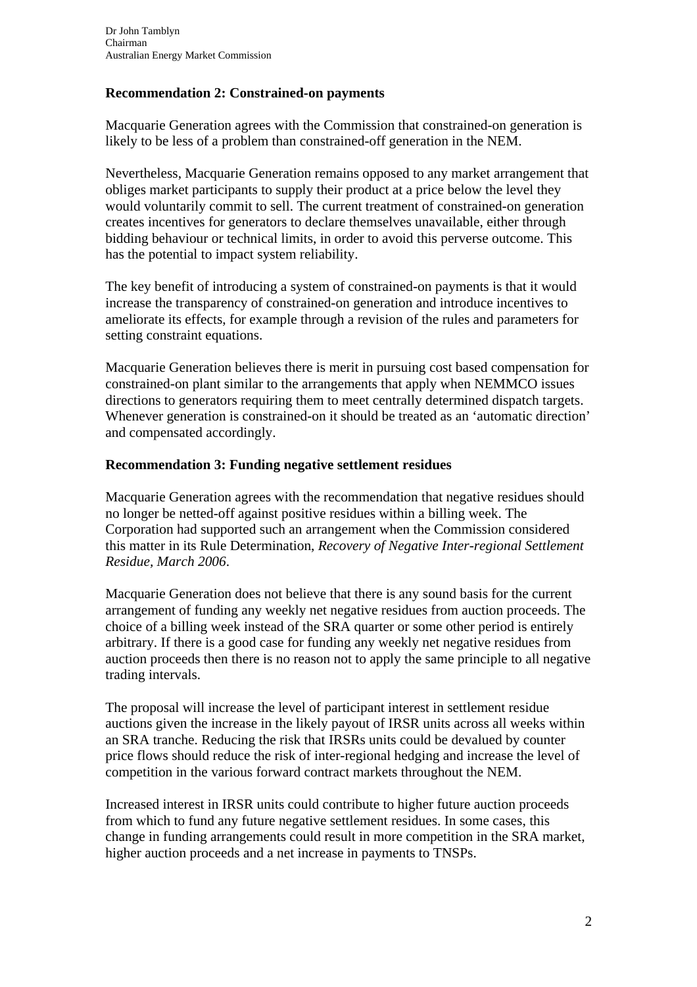## **Recommendation 2: Constrained-on payments**

Macquarie Generation agrees with the Commission that constrained-on generation is likely to be less of a problem than constrained-off generation in the NEM.

Nevertheless, Macquarie Generation remains opposed to any market arrangement that obliges market participants to supply their product at a price below the level they would voluntarily commit to sell. The current treatment of constrained-on generation creates incentives for generators to declare themselves unavailable, either through bidding behaviour or technical limits, in order to avoid this perverse outcome. This has the potential to impact system reliability.

The key benefit of introducing a system of constrained-on payments is that it would increase the transparency of constrained-on generation and introduce incentives to ameliorate its effects, for example through a revision of the rules and parameters for setting constraint equations.

Macquarie Generation believes there is merit in pursuing cost based compensation for constrained-on plant similar to the arrangements that apply when NEMMCO issues directions to generators requiring them to meet centrally determined dispatch targets. Whenever generation is constrained-on it should be treated as an 'automatic direction' and compensated accordingly.

## **Recommendation 3: Funding negative settlement residues**

Macquarie Generation agrees with the recommendation that negative residues should no longer be netted-off against positive residues within a billing week. The Corporation had supported such an arrangement when the Commission considered this matter in its Rule Determination, *Recovery of Negative Inter-regional Settlement Residue, March 2006*.

Macquarie Generation does not believe that there is any sound basis for the current arrangement of funding any weekly net negative residues from auction proceeds. The choice of a billing week instead of the SRA quarter or some other period is entirely arbitrary. If there is a good case for funding any weekly net negative residues from auction proceeds then there is no reason not to apply the same principle to all negative trading intervals.

The proposal will increase the level of participant interest in settlement residue auctions given the increase in the likely payout of IRSR units across all weeks within an SRA tranche. Reducing the risk that IRSRs units could be devalued by counter price flows should reduce the risk of inter-regional hedging and increase the level of competition in the various forward contract markets throughout the NEM.

Increased interest in IRSR units could contribute to higher future auction proceeds from which to fund any future negative settlement residues. In some cases, this change in funding arrangements could result in more competition in the SRA market, higher auction proceeds and a net increase in payments to TNSPs.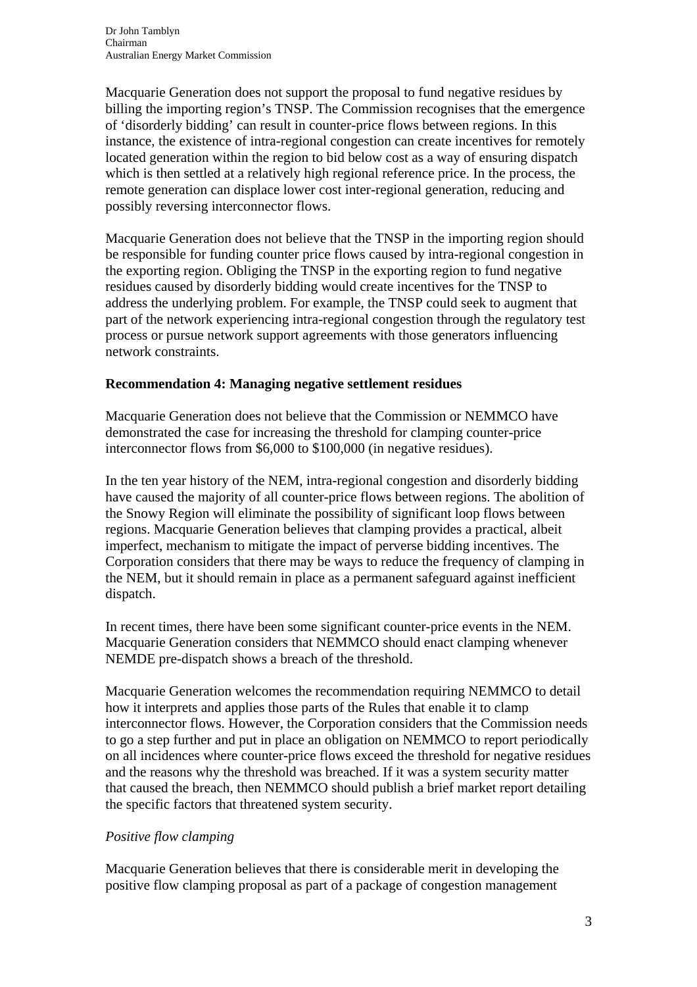Macquarie Generation does not support the proposal to fund negative residues by billing the importing region's TNSP. The Commission recognises that the emergence of 'disorderly bidding' can result in counter-price flows between regions. In this instance, the existence of intra-regional congestion can create incentives for remotely located generation within the region to bid below cost as a way of ensuring dispatch which is then settled at a relatively high regional reference price. In the process, the remote generation can displace lower cost inter-regional generation, reducing and possibly reversing interconnector flows.

Macquarie Generation does not believe that the TNSP in the importing region should be responsible for funding counter price flows caused by intra-regional congestion in the exporting region. Obliging the TNSP in the exporting region to fund negative residues caused by disorderly bidding would create incentives for the TNSP to address the underlying problem. For example, the TNSP could seek to augment that part of the network experiencing intra-regional congestion through the regulatory test process or pursue network support agreements with those generators influencing network constraints.

#### **Recommendation 4: Managing negative settlement residues**

Macquarie Generation does not believe that the Commission or NEMMCO have demonstrated the case for increasing the threshold for clamping counter-price interconnector flows from \$6,000 to \$100,000 (in negative residues).

In the ten year history of the NEM, intra-regional congestion and disorderly bidding have caused the majority of all counter-price flows between regions. The abolition of the Snowy Region will eliminate the possibility of significant loop flows between regions. Macquarie Generation believes that clamping provides a practical, albeit imperfect, mechanism to mitigate the impact of perverse bidding incentives. The Corporation considers that there may be ways to reduce the frequency of clamping in the NEM, but it should remain in place as a permanent safeguard against inefficient dispatch.

In recent times, there have been some significant counter-price events in the NEM. Macquarie Generation considers that NEMMCO should enact clamping whenever NEMDE pre-dispatch shows a breach of the threshold.

Macquarie Generation welcomes the recommendation requiring NEMMCO to detail how it interprets and applies those parts of the Rules that enable it to clamp interconnector flows. However, the Corporation considers that the Commission needs to go a step further and put in place an obligation on NEMMCO to report periodically on all incidences where counter-price flows exceed the threshold for negative residues and the reasons why the threshold was breached. If it was a system security matter that caused the breach, then NEMMCO should publish a brief market report detailing the specific factors that threatened system security.

## *Positive flow clamping*

Macquarie Generation believes that there is considerable merit in developing the positive flow clamping proposal as part of a package of congestion management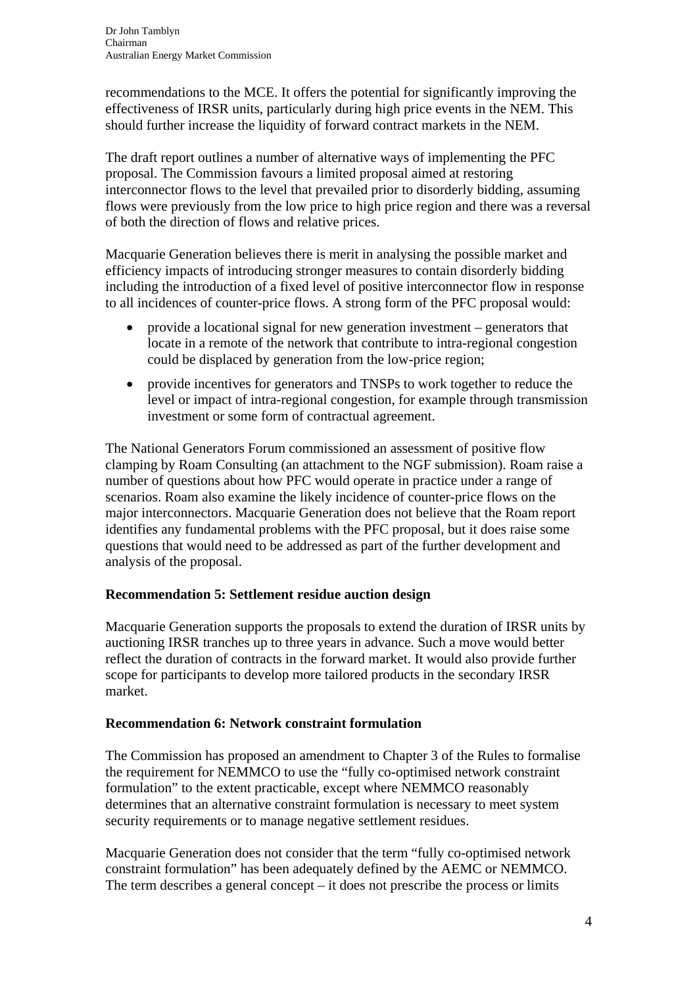recommendations to the MCE. It offers the potential for significantly improving the effectiveness of IRSR units, particularly during high price events in the NEM. This should further increase the liquidity of forward contract markets in the NEM.

The draft report outlines a number of alternative ways of implementing the PFC proposal. The Commission favours a limited proposal aimed at restoring interconnector flows to the level that prevailed prior to disorderly bidding, assuming flows were previously from the low price to high price region and there was a reversal of both the direction of flows and relative prices.

Macquarie Generation believes there is merit in analysing the possible market and efficiency impacts of introducing stronger measures to contain disorderly bidding including the introduction of a fixed level of positive interconnector flow in response to all incidences of counter-price flows. A strong form of the PFC proposal would:

- provide a locational signal for new generation investment generators that locate in a remote of the network that contribute to intra-regional congestion could be displaced by generation from the low-price region;
- provide incentives for generators and TNSPs to work together to reduce the level or impact of intra-regional congestion, for example through transmission investment or some form of contractual agreement.

The National Generators Forum commissioned an assessment of positive flow clamping by Roam Consulting (an attachment to the NGF submission). Roam raise a number of questions about how PFC would operate in practice under a range of scenarios. Roam also examine the likely incidence of counter-price flows on the major interconnectors. Macquarie Generation does not believe that the Roam report identifies any fundamental problems with the PFC proposal, but it does raise some questions that would need to be addressed as part of the further development and analysis of the proposal.

## **Recommendation 5: Settlement residue auction design**

Macquarie Generation supports the proposals to extend the duration of IRSR units by auctioning IRSR tranches up to three years in advance. Such a move would better reflect the duration of contracts in the forward market. It would also provide further scope for participants to develop more tailored products in the secondary IRSR market.

## **Recommendation 6: Network constraint formulation**

The Commission has proposed an amendment to Chapter 3 of the Rules to formalise the requirement for NEMMCO to use the "fully co-optimised network constraint formulation" to the extent practicable, except where NEMMCO reasonably determines that an alternative constraint formulation is necessary to meet system security requirements or to manage negative settlement residues.

Macquarie Generation does not consider that the term "fully co-optimised network constraint formulation" has been adequately defined by the AEMC or NEMMCO. The term describes a general concept – it does not prescribe the process or limits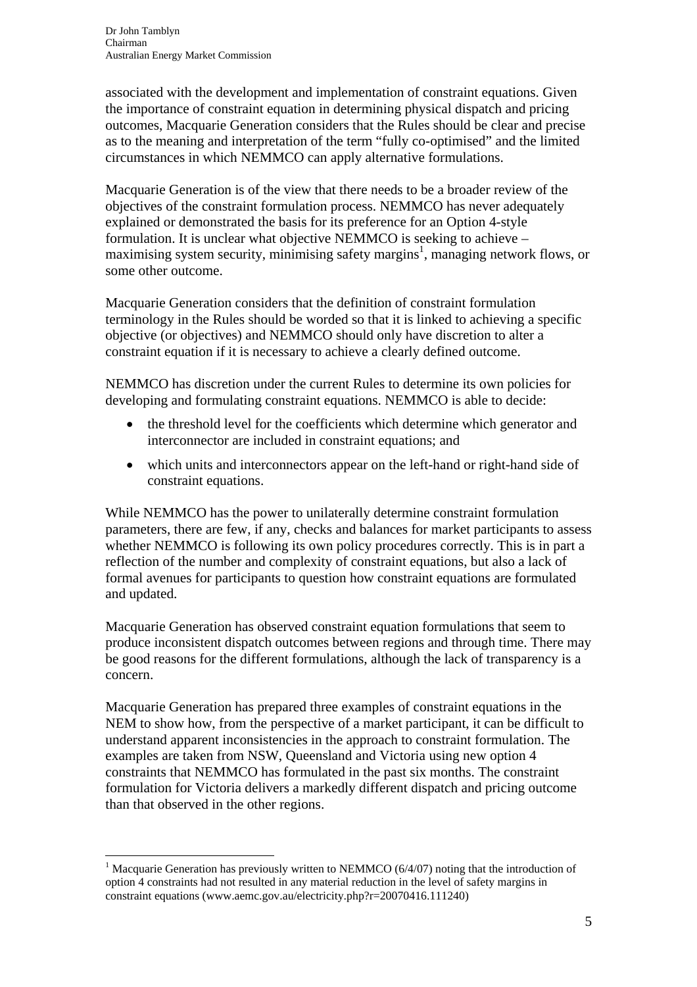associated with the development and implementation of constraint equations. Given the importance of constraint equation in determining physical dispatch and pricing outcomes, Macquarie Generation considers that the Rules should be clear and precise as to the meaning and interpretation of the term "fully co-optimised" and the limited circumstances in which NEMMCO can apply alternative formulations.

Macquarie Generation is of the view that there needs to be a broader review of the objectives of the constraint formulation process. NEMMCO has never adequately explained or demonstrated the basis for its preference for an Option 4-style formulation. It is unclear what objective NEMMCO is seeking to achieve – maximising system security, minimising safety margins<sup>1</sup>, managing network flows, or some other outcome.

Macquarie Generation considers that the definition of constraint formulation terminology in the Rules should be worded so that it is linked to achieving a specific objective (or objectives) and NEMMCO should only have discretion to alter a constraint equation if it is necessary to achieve a clearly defined outcome.

NEMMCO has discretion under the current Rules to determine its own policies for developing and formulating constraint equations. NEMMCO is able to decide:

- the threshold level for the coefficients which determine which generator and interconnector are included in constraint equations; and
- which units and interconnectors appear on the left-hand or right-hand side of constraint equations.

While NEMMCO has the power to unilaterally determine constraint formulation parameters, there are few, if any, checks and balances for market participants to assess whether NEMMCO is following its own policy procedures correctly. This is in part a reflection of the number and complexity of constraint equations, but also a lack of formal avenues for participants to question how constraint equations are formulated and updated.

Macquarie Generation has observed constraint equation formulations that seem to produce inconsistent dispatch outcomes between regions and through time. There may be good reasons for the different formulations, although the lack of transparency is a concern.

Macquarie Generation has prepared three examples of constraint equations in the NEM to show how, from the perspective of a market participant, it can be difficult to understand apparent inconsistencies in the approach to constraint formulation. The examples are taken from NSW, Queensland and Victoria using new option 4 constraints that NEMMCO has formulated in the past six months. The constraint formulation for Victoria delivers a markedly different dispatch and pricing outcome than that observed in the other regions.

 $\overline{a}$ 

<sup>&</sup>lt;sup>1</sup> Macquarie Generation has previously written to NEMMCO ( $6/4/07$ ) noting that the introduction of option 4 constraints had not resulted in any material reduction in the level of safety margins in constraint equations (www.aemc.gov.au/electricity.php?r=20070416.111240)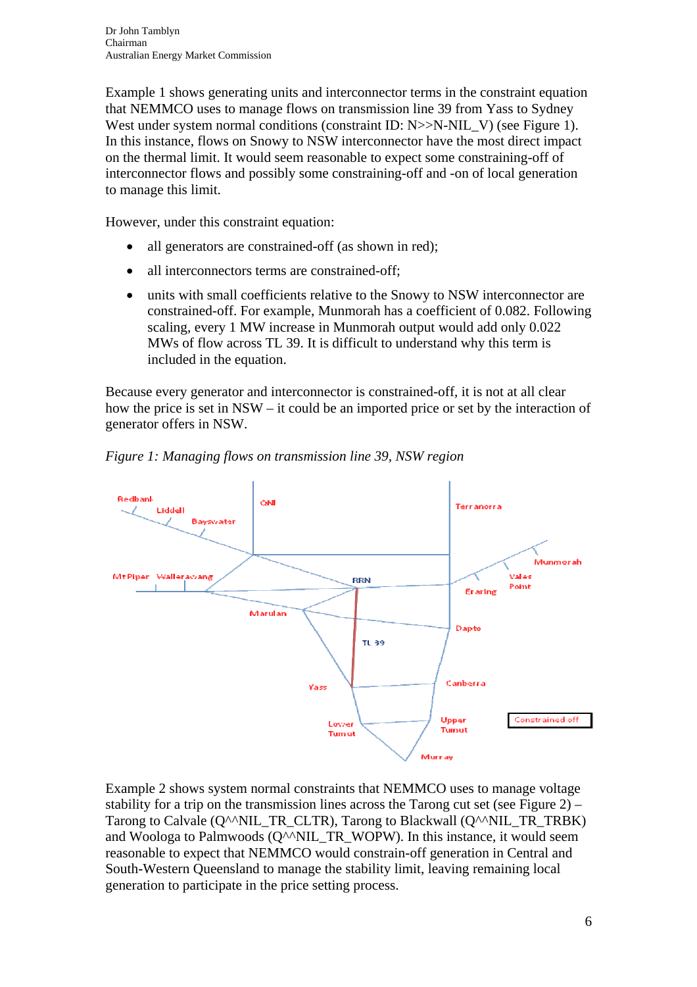Example 1 shows generating units and interconnector terms in the constraint equation that NEMMCO uses to manage flows on transmission line 39 from Yass to Sydney West under system normal conditions (constraint ID: N>>N-NIL V) (see Figure 1). In this instance, flows on Snowy to NSW interconnector have the most direct impact on the thermal limit. It would seem reasonable to expect some constraining-off of interconnector flows and possibly some constraining-off and -on of local generation to manage this limit.

However, under this constraint equation:

- all generators are constrained-off (as shown in red);
- all interconnectors terms are constrained-off;
- units with small coefficients relative to the Snowy to NSW interconnector are constrained-off. For example, Munmorah has a coefficient of 0.082. Following scaling, every 1 MW increase in Munmorah output would add only 0.022 MWs of flow across TL 39. It is difficult to understand why this term is included in the equation.

Because every generator and interconnector is constrained-off, it is not at all clear how the price is set in NSW – it could be an imported price or set by the interaction of generator offers in NSW.



*Figure 1: Managing flows on transmission line 39, NSW region* 

Example 2 shows system normal constraints that NEMMCO uses to manage voltage stability for a trip on the transmission lines across the Tarong cut set (see Figure  $2$ ) – Tarong to Calvale (Q^^NIL\_TR\_CLTR), Tarong to Blackwall (Q^^NIL\_TR\_TRBK) and Woologa to Palmwoods  $(Q^{\wedge n}NIL$  TR WOPW). In this instance, it would seem reasonable to expect that NEMMCO would constrain-off generation in Central and South-Western Queensland to manage the stability limit, leaving remaining local generation to participate in the price setting process.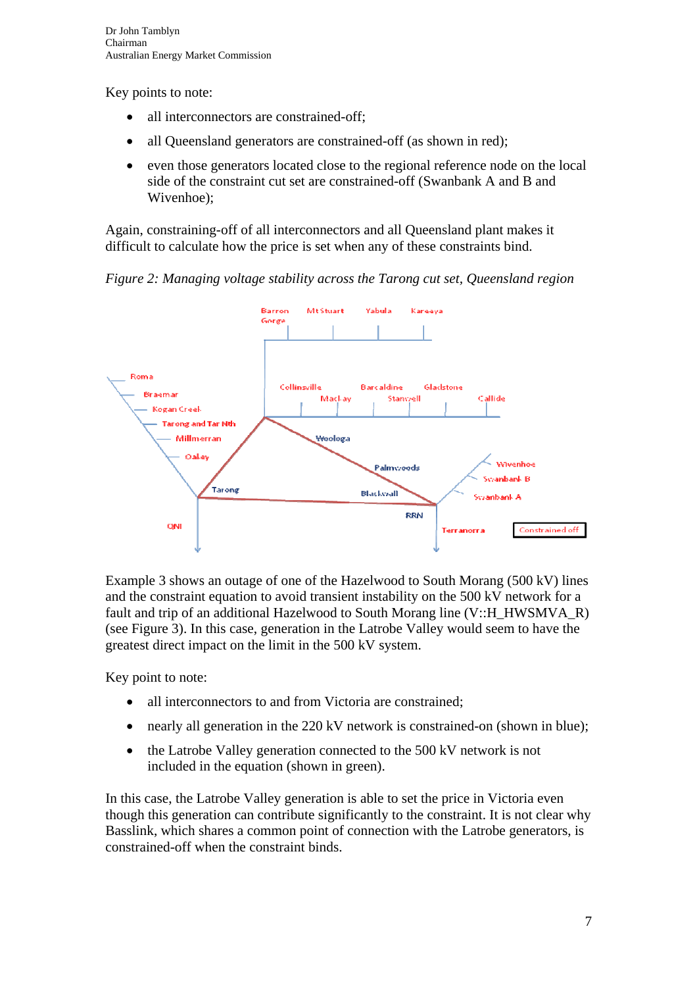Key points to note:

- all interconnectors are constrained-off:
- all Queensland generators are constrained-off (as shown in red);
- even those generators located close to the regional reference node on the local side of the constraint cut set are constrained-off (Swanbank A and B and Wivenhoe);

Again, constraining-off of all interconnectors and all Queensland plant makes it difficult to calculate how the price is set when any of these constraints bind.

*Figure 2: Managing voltage stability across the Tarong cut set, Queensland region* 



Example 3 shows an outage of one of the Hazelwood to South Morang (500 kV) lines and the constraint equation to avoid transient instability on the 500 kV network for a fault and trip of an additional Hazelwood to South Morang line (V::H\_HWSMVA\_R) (see Figure 3). In this case, generation in the Latrobe Valley would seem to have the greatest direct impact on the limit in the 500 kV system.

Key point to note:

- all interconnectors to and from Victoria are constrained;
- nearly all generation in the 220 kV network is constrained-on (shown in blue);
- the Latrobe Valley generation connected to the 500 kV network is not included in the equation (shown in green).

In this case, the Latrobe Valley generation is able to set the price in Victoria even though this generation can contribute significantly to the constraint. It is not clear why Basslink, which shares a common point of connection with the Latrobe generators, is constrained-off when the constraint binds.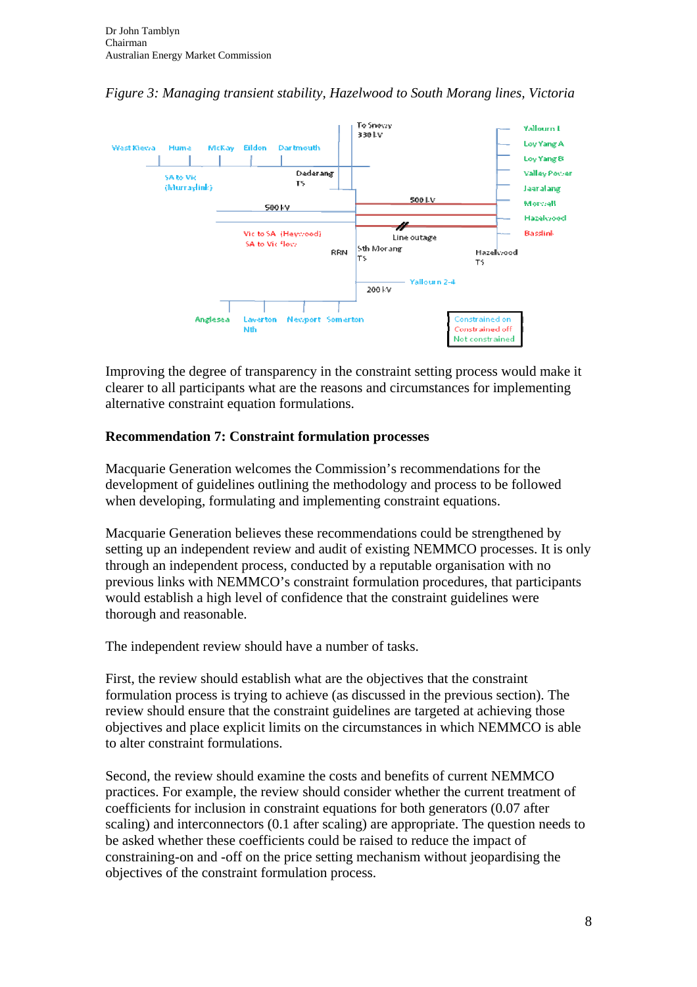

*Figure 3: Managing transient stability, Hazelwood to South Morang lines, Victoria* 

Improving the degree of transparency in the constraint setting process would make it clearer to all participants what are the reasons and circumstances for implementing alternative constraint equation formulations.

#### **Recommendation 7: Constraint formulation processes**

Macquarie Generation welcomes the Commission's recommendations for the development of guidelines outlining the methodology and process to be followed when developing, formulating and implementing constraint equations.

Macquarie Generation believes these recommendations could be strengthened by setting up an independent review and audit of existing NEMMCO processes. It is only through an independent process, conducted by a reputable organisation with no previous links with NEMMCO's constraint formulation procedures, that participants would establish a high level of confidence that the constraint guidelines were thorough and reasonable.

The independent review should have a number of tasks.

First, the review should establish what are the objectives that the constraint formulation process is trying to achieve (as discussed in the previous section). The review should ensure that the constraint guidelines are targeted at achieving those objectives and place explicit limits on the circumstances in which NEMMCO is able to alter constraint formulations.

Second, the review should examine the costs and benefits of current NEMMCO practices. For example, the review should consider whether the current treatment of coefficients for inclusion in constraint equations for both generators (0.07 after scaling) and interconnectors (0.1 after scaling) are appropriate. The question needs to be asked whether these coefficients could be raised to reduce the impact of constraining-on and -off on the price setting mechanism without jeopardising the objectives of the constraint formulation process.